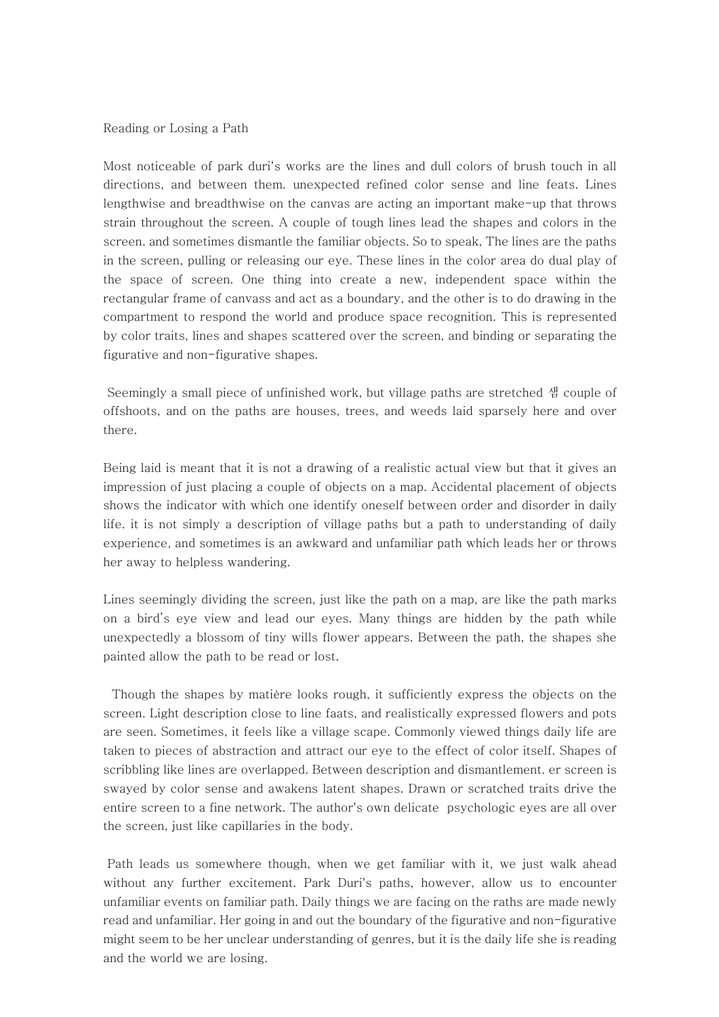## Reading or Losing a Path

Most noticeable of park duri's works are the lines and dull colors of brush touch in all directions, and between them. unexpected refined color sense and line feats. Lines lengthwise and breadthwise on the canvas are acting an important make-up that throws strain throughout the screen. A couple of tough lines lead the shapes and colors in the screen. and sometimes dismantle the familiar objects. So to speak, The lines are the paths in the screen, pulling or releasing our eye. These lines in the color area do dual play of the space of screen. One thing into create a new, independent space within the rectangular frame of canvass and act as a boundary, and the other is to do drawing in the compartment to respond the world and produce space recognition. This is represented by color traits, lines and shapes scattered over the screen, and binding or separating the figurative and non-figurative shapes.

Seemingly a small piece of unfinished work, but village paths are stretched 샘 couple of offshoots, and on the paths are houses, trees, and weeds laid sparsely here and over there.

Being laid is meant that it is not a drawing of a realistic actual view but that it gives an impression of just placing a couple of objects on a map. Accidental placement of objects shows the indicator with which one identify oneself between order and disorder in daily life. it is not simply a description of village paths but a path to understanding of daily experience, and sometimes is an awkward and unfamiliar path which leads her or throws her away to helpless wandering.

Lines seemingly dividing the screen, just like the path on a map, are like the path marks on a bird's eye view and lead our eyes. Many things are hidden by the path while unexpectedly a blossom of tiny wills flower appears. Between the path, the shapes she painted allow the path to be read or lost.

Though the shapes by matière looks rough, it sufficiently express the objects on the screen. Light description close to line faats, and realistically expressed flowers and pots are seen. Sometimes, it feels like a village scape. Commonly viewed things daily life are taken to pieces of abstraction and attract our eye to the effect of color itself. Shapes of scribbling like lines are overlapped. Between description and dismantlement. er screen is swayed by color sense and awakens latent shapes. Drawn or scratched traits drive the entire screen to a fine network. The author's own delicate psychologic eyes are all over the screen, just like capillaries in the body.

Path leads us somewhere though, when we get familiar with it, we just walk ahead without any further excitement. Park Duri's paths, however, allow us to encounter unfamiliar events on familiar path. Daily things we are facing on the raths are made newly read and unfamiliar. Her going in and out the boundary of the figurative and non-figurative might seem to be her unclear understanding of genres, but it is the daily life she is reading and the world we are losing.